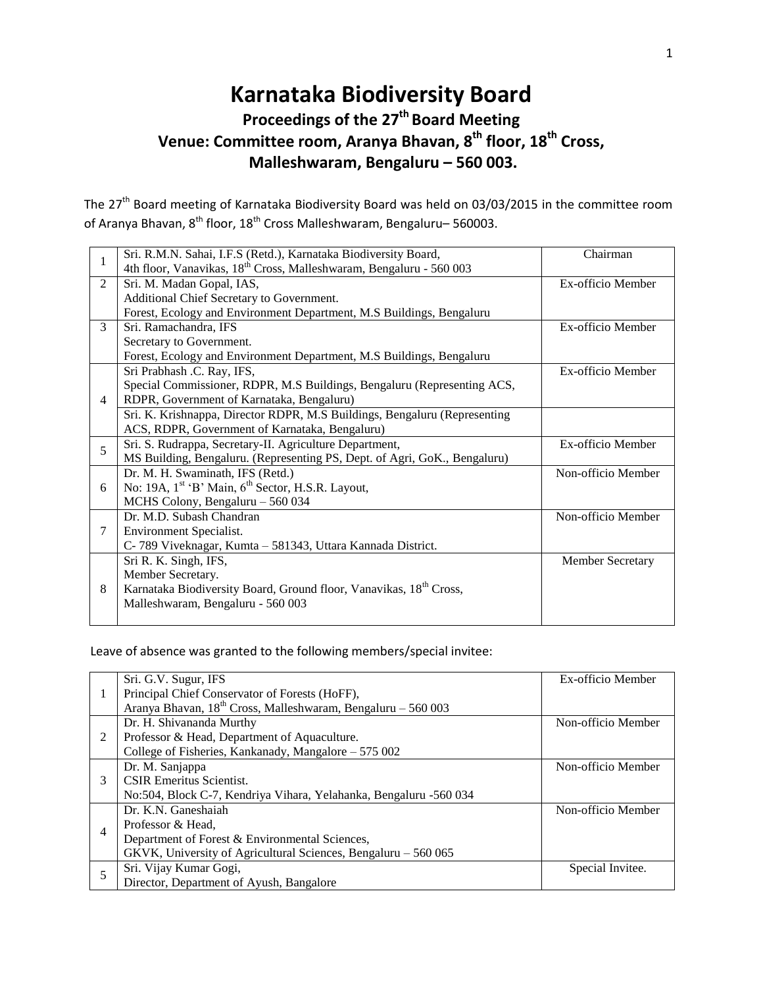# **Karnataka Biodiversity Board Proceedings of the 27 th Board Meeting**

## **Venue: Committee room, Aranya Bhavan, 8th floor, 18 th Cross, Malleshwaram, Bengaluru – 560 003.**

The 27<sup>th</sup> Board meeting of Karnataka Biodiversity Board was held on 03/03/2015 in the committee room of Aranya Bhavan, 8<sup>th</sup> floor, 18<sup>th</sup> Cross Malleshwaram, Bengaluru– 560003.

| 1              | Sri. R.M.N. Sahai, I.F.S (Retd.), Karnataka Biodiversity Board,                 | Chairman           |
|----------------|---------------------------------------------------------------------------------|--------------------|
|                | 4th floor, Vanavikas, 18 <sup>th</sup> Cross, Malleshwaram, Bengaluru - 560 003 |                    |
| 2              | Sri. M. Madan Gopal, IAS,                                                       | Ex-officio Member  |
|                | Additional Chief Secretary to Government.                                       |                    |
|                | Forest, Ecology and Environment Department, M.S Buildings, Bengaluru            |                    |
| 3              | Sri. Ramachandra, IFS                                                           | Ex-officio Member  |
|                | Secretary to Government.                                                        |                    |
|                | Forest, Ecology and Environment Department, M.S Buildings, Bengaluru            |                    |
| $\overline{4}$ | Sri Prabhash .C. Ray, IFS,                                                      | Ex-officio Member  |
|                | Special Commissioner, RDPR, M.S Buildings, Bengaluru (Representing ACS,         |                    |
|                | RDPR, Government of Karnataka, Bengaluru)                                       |                    |
|                | Sri. K. Krishnappa, Director RDPR, M.S Buildings, Bengaluru (Representing       |                    |
|                | ACS, RDPR, Government of Karnataka, Bengaluru)                                  |                    |
| 5              | Sri. S. Rudrappa, Secretary-II. Agriculture Department,                         | Ex-officio Member  |
|                | MS Building, Bengaluru. (Representing PS, Dept. of Agri, GoK., Bengaluru)       |                    |
| 6              | Dr. M. H. Swaminath, IFS (Retd.)                                                | Non-officio Member |
|                | No: 19A, 1 <sup>st</sup> 'B' Main, 6 <sup>th</sup> Sector, H.S.R. Layout,       |                    |
|                | MCHS Colony, Bengaluru - 560 034                                                |                    |
| 7              | Dr. M.D. Subash Chandran                                                        | Non-officio Member |
|                | Environment Specialist.                                                         |                    |
|                | C-789 Viveknagar, Kumta – 581343, Uttara Kannada District.                      |                    |
| 8              | Sri R. K. Singh, IFS,                                                           | Member Secretary   |
|                | Member Secretary.                                                               |                    |
|                | Karnataka Biodiversity Board, Ground floor, Vanavikas, 18 <sup>th</sup> Cross,  |                    |
|                | Malleshwaram, Bengaluru - 560 003                                               |                    |
|                |                                                                                 |                    |

Leave of absence was granted to the following members/special invitee:

|   | Sri. G.V. Sugur, IFS                                              | Ex-officio Member  |
|---|-------------------------------------------------------------------|--------------------|
|   | Principal Chief Conservator of Forests (HoFF),                    |                    |
|   | Aranya Bhavan, $18th$ Cross, Malleshwaram, Bengaluru - 560 003    |                    |
|   | Dr. H. Shivananda Murthy                                          | Non-officio Member |
| 2 | Professor & Head, Department of Aquaculture.                      |                    |
|   | College of Fisheries, Kankanady, Mangalore – 575 002              |                    |
| 3 | Dr. M. Sanjappa                                                   | Non-officio Member |
|   | <b>CSIR Emeritus Scientist.</b>                                   |                    |
|   | No:504, Block C-7, Kendriya Vihara, Yelahanka, Bengaluru -560 034 |                    |
| 4 | Dr. K.N. Ganeshaiah                                               | Non-officio Member |
|   | Professor & Head,                                                 |                    |
|   | Department of Forest & Environmental Sciences,                    |                    |
|   | GKVK, University of Agricultural Sciences, Bengaluru – 560 065    |                    |
| 5 | Sri. Vijay Kumar Gogi,                                            | Special Invitee.   |
|   | Director, Department of Ayush, Bangalore                          |                    |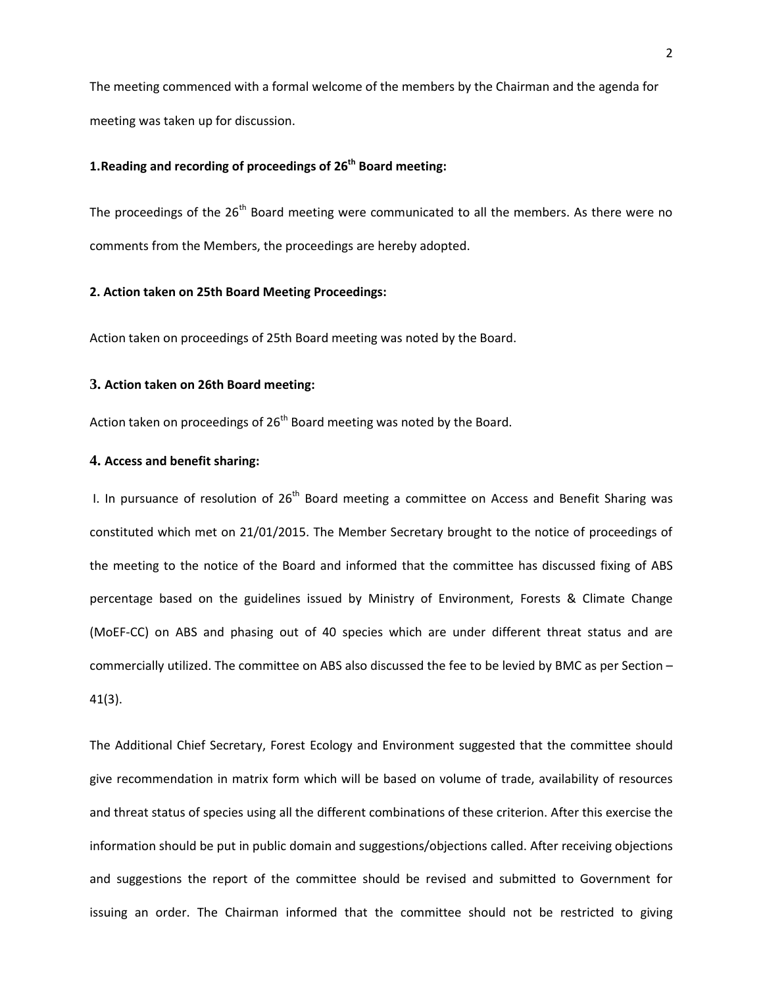The meeting commenced with a formal welcome of the members by the Chairman and the agenda for meeting was taken up for discussion.

### **1.Reading and recording of proceedings of 26th Board meeting:**

The proceedings of the  $26<sup>th</sup>$  Board meeting were communicated to all the members. As there were no comments from the Members, the proceedings are hereby adopted.

#### **2. Action taken on 25th Board Meeting Proceedings:**

Action taken on proceedings of 25th Board meeting was noted by the Board.

#### **3. Action taken on 26th Board meeting:**

Action taken on proceedings of  $26<sup>th</sup>$  Board meeting was noted by the Board.

#### **4. Access and benefit sharing:**

I. In pursuance of resolution of  $26<sup>th</sup>$  Board meeting a committee on Access and Benefit Sharing was constituted which met on 21/01/2015. The Member Secretary brought to the notice of proceedings of the meeting to the notice of the Board and informed that the committee has discussed fixing of ABS percentage based on the guidelines issued by Ministry of Environment, Forests & Climate Change (MoEF-CC) on ABS and phasing out of 40 species which are under different threat status and are commercially utilized. The committee on ABS also discussed the fee to be levied by BMC as per Section – 41(3).

The Additional Chief Secretary, Forest Ecology and Environment suggested that the committee should give recommendation in matrix form which will be based on volume of trade, availability of resources and threat status of species using all the different combinations of these criterion. After this exercise the information should be put in public domain and suggestions/objections called. After receiving objections and suggestions the report of the committee should be revised and submitted to Government for issuing an order. The Chairman informed that the committee should not be restricted to giving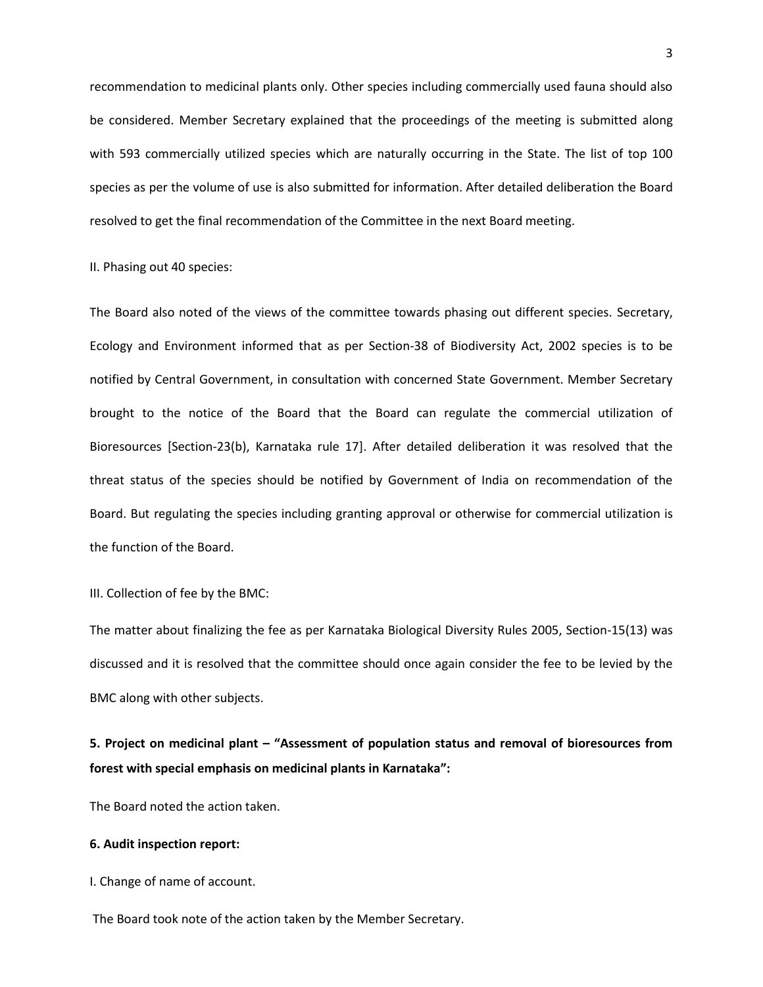recommendation to medicinal plants only. Other species including commercially used fauna should also be considered. Member Secretary explained that the proceedings of the meeting is submitted along with 593 commercially utilized species which are naturally occurring in the State. The list of top 100 species as per the volume of use is also submitted for information. After detailed deliberation the Board resolved to get the final recommendation of the Committee in the next Board meeting.

#### II. Phasing out 40 species:

The Board also noted of the views of the committee towards phasing out different species. Secretary, Ecology and Environment informed that as per Section-38 of Biodiversity Act, 2002 species is to be notified by Central Government, in consultation with concerned State Government. Member Secretary brought to the notice of the Board that the Board can regulate the commercial utilization of Bioresources [Section-23(b), Karnataka rule 17]. After detailed deliberation it was resolved that the threat status of the species should be notified by Government of India on recommendation of the Board. But regulating the species including granting approval or otherwise for commercial utilization is the function of the Board.

#### III. Collection of fee by the BMC:

The matter about finalizing the fee as per Karnataka Biological Diversity Rules 2005, Section-15(13) was discussed and it is resolved that the committee should once again consider the fee to be levied by the BMC along with other subjects.

## **5. Project on medicinal plant – "Assessment of population status and removal of bioresources from forest with special emphasis on medicinal plants in Karnataka":**

The Board noted the action taken.

#### **6. Audit inspection report:**

I. Change of name of account.

The Board took note of the action taken by the Member Secretary.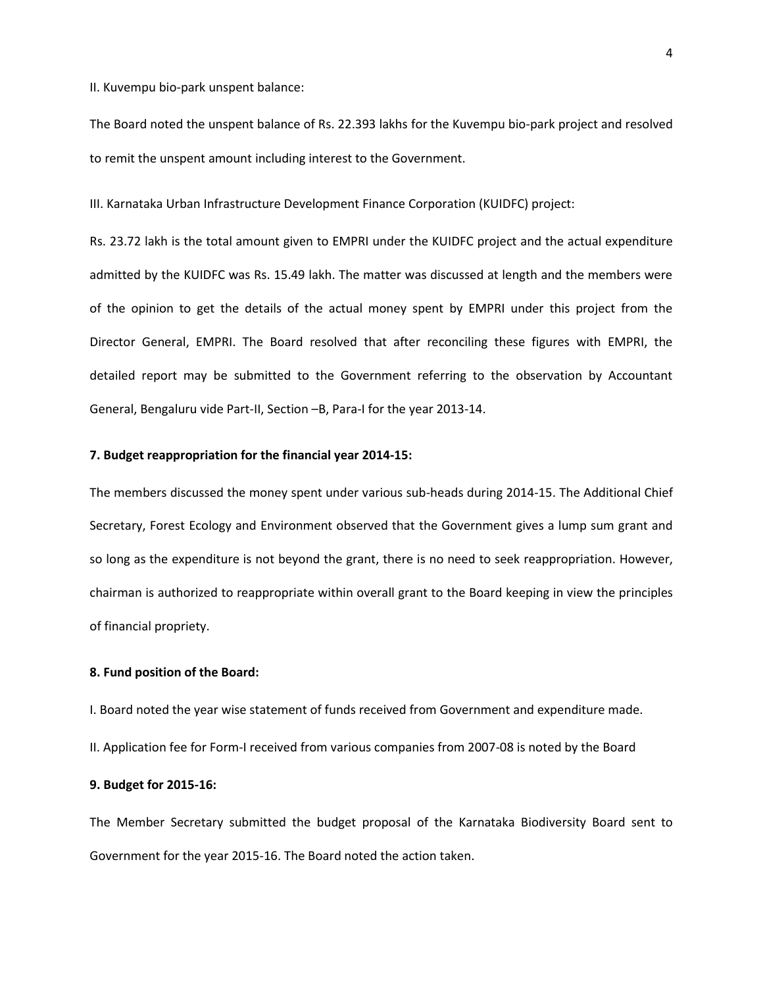II. Kuvempu bio-park unspent balance:

The Board noted the unspent balance of Rs. 22.393 lakhs for the Kuvempu bio-park project and resolved to remit the unspent amount including interest to the Government.

III. Karnataka Urban Infrastructure Development Finance Corporation (KUIDFC) project:

Rs. 23.72 lakh is the total amount given to EMPRI under the KUIDFC project and the actual expenditure admitted by the KUIDFC was Rs. 15.49 lakh. The matter was discussed at length and the members were of the opinion to get the details of the actual money spent by EMPRI under this project from the Director General, EMPRI. The Board resolved that after reconciling these figures with EMPRI, the detailed report may be submitted to the Government referring to the observation by Accountant General, Bengaluru vide Part-II, Section –B, Para-I for the year 2013-14.

#### **7. Budget reappropriation for the financial year 2014-15:**

The members discussed the money spent under various sub-heads during 2014-15. The Additional Chief Secretary, Forest Ecology and Environment observed that the Government gives a lump sum grant and so long as the expenditure is not beyond the grant, there is no need to seek reappropriation. However, chairman is authorized to reappropriate within overall grant to the Board keeping in view the principles of financial propriety.

#### **8. Fund position of the Board:**

I. Board noted the year wise statement of funds received from Government and expenditure made.

II. Application fee for Form-I received from various companies from 2007-08 is noted by the Board

#### **9. Budget for 2015-16:**

The Member Secretary submitted the budget proposal of the Karnataka Biodiversity Board sent to Government for the year 2015-16. The Board noted the action taken.